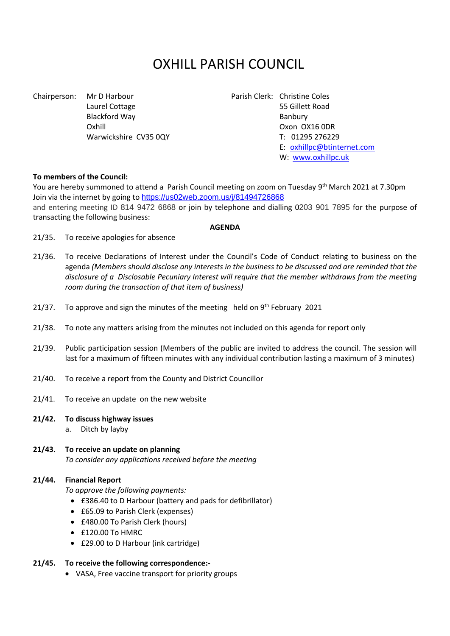# OXHILL PARISH COUNCIL

Chairperson: Mr D Harbour Parish Clerk: Christine Coles Blackford Way **Banbury** Banbury

Laurel Cottage 55 Gillett Road Oxhill Oxon OX16 0DR Warwickshire CV35 0QY T: 01295 276229 E: [oxhillpc@btinternet.com](mailto:oxhillpc@btinternet.com) W: [www.oxhillpc.uk](http://www.oxhillpc.uk/)

### **To members of the Council:**

You are hereby summoned to attend a Parish Council meeting on zoom on Tuesday 9<sup>th</sup> March 2021 at 7.30pm Join via the internet by going to <https://us02web.zoom.us/j/81494726868> and entering meeting ID 814 9472 6868 or join by telephone and dialling 0203 901 7895 for the purpose of transacting the following business:

#### **AGENDA**

- 21/35. To receive apologies for absence
- 21/36. To receive Declarations of Interest under the Council's Code of Conduct relating to business on the agenda *(Members should disclose any interests in the business to be discussed and are reminded that the disclosure of a Disclosable Pecuniary Interest will require that the member withdraws from the meeting room during the transaction of that item of business)*
- 21/37. To approve and sign the minutes of the meeting held on  $9<sup>th</sup>$  February 2021
- 21/38. To note any matters arising from the minutes not included on this agenda for report only
- 21/39. Public participation session (Members of the public are invited to address the council. The session will last for a maximum of fifteen minutes with any individual contribution lasting a maximum of 3 minutes)
- 21/40. To receive a report from the County and District Councillor
- 21/41. To receive an update on the new website
- **21/42. To discuss highway issues**
	- a. Ditch by layby
- **21/43. To receive an update on planning** *To consider any applications received before the meeting*

#### **21/44. Financial Report**

*To approve the following payments:*

- £386.40 to D Harbour (battery and pads for defibrillator)
- £65.09 to Parish Clerk (expenses)
- £480.00 To Parish Clerk (hours)
- £120.00 To HMRC
- £29.00 to D Harbour (ink cartridge)

#### **21/45. To receive the following correspondence:-**

• VASA, Free vaccine transport for priority groups